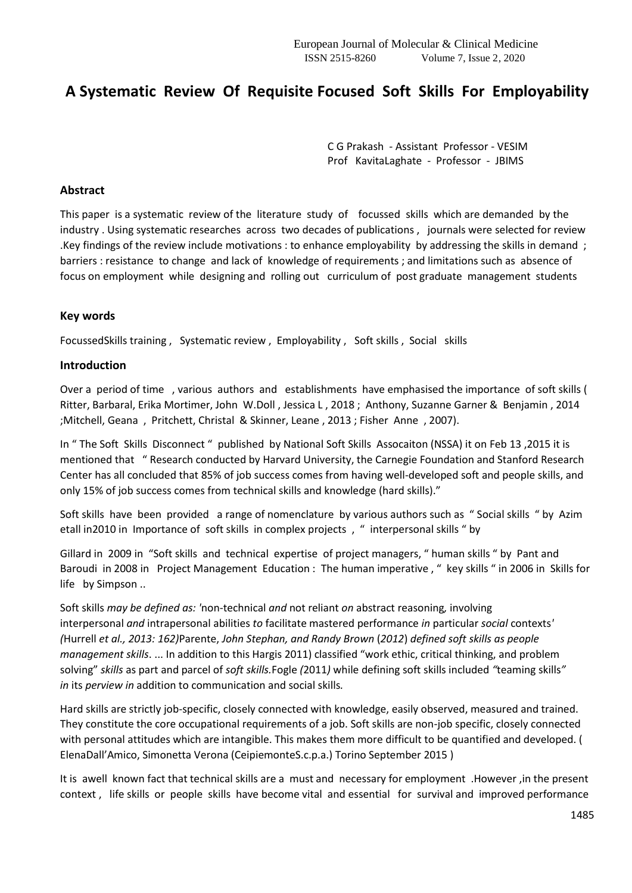# **A Systematic Review Of Requisite Focused Soft Skills For Employability**

C G Prakash - Assistant Professor - VESIM Prof KavitaLaghate - Professor - JBIMS

#### **Abstract**

This paper is a systematic review of the literature study of focussed skills which are demanded by the industry . Using systematic researches across two decades of publications , journals were selected for review .Key findings of the review include motivations : to enhance employability by addressing the skills in demand ; barriers : resistance to change and lack of knowledge of requirements ; and limitations such as absence of focus on employment while designing and rolling out curriculum of post graduate management students

#### **Key words**

FocussedSkills training , Systematic review , Employability , Soft skills , Social skills

#### **Introduction**

Over a period of time , various authors and establishments have emphasised the importance of soft skills ( Ritter, Barbaral, Erika Mortimer, John W.Doll , Jessica L , 2018 ; Anthony, Suzanne Garner & Benjamin , 2014 ;Mitchell, Geana , Pritchett, Christal & Skinner, Leane , 2013 ; Fisher Anne , 2007).

In " The Soft Skills Disconnect " published by National Soft Skills Assocaiton (NSSA) it on Feb 13 ,2015 it is mentioned that " Research conducted by Harvard University, the Carnegie Foundation and Stanford Research Center has all concluded that 85% of job success comes from having well‐developed soft and people skills, and only 15% of job success comes from technical skills and knowledge (hard skills)."

Soft skills have been provided a range of nomenclature by various authors such as " Social skills " by Azim etall in2010 in Importance of soft skills in complex projects , " interpersonal skills " by

Gillard in 2009 in "Soft skills and technical expertise of project managers, " human skills " by Pant and Baroudi in 2008 in Project Management Education : The human imperative , " key skills " in 2006 in Skills for life by Simpson ..

Soft skills *may be defined as: '*non-technical *and* not reliant *on* abstract reasoning*,* involving interpersonal *and* intrapersonal abilities *to* facilitate mastered performance *in* particular *social* contexts*' (*Hurrell *et al., 2013: 162)*Parente, *John Stephan, and Randy Brown* (*2012*) *defined soft skills as people management skills*. ... In addition to this Hargis 2011) classified "work ethic, critical thinking, and problem solving" *skills* as part and parcel of *soft skills.*Fogle *(*2011*)* while defining soft skills included *"*teaming skills*" in* its *perview in* addition to communication and social skills*.*

Hard skills are strictly job-specific, closely connected with knowledge, easily observed, measured and trained. They constitute the core occupational requirements of a job. Soft skills are non-job specific, closely connected with personal attitudes which are intangible. This makes them more difficult to be quantified and developed. ( ElenaDall'Amico, Simonetta Verona (CeipiemonteS.c.p.a.) Torino September 2015 )

It is awell known fact that technical skills are a must and necessary for employment .However ,in the present context , life skills or people skills have become vital and essential for survival and improved performance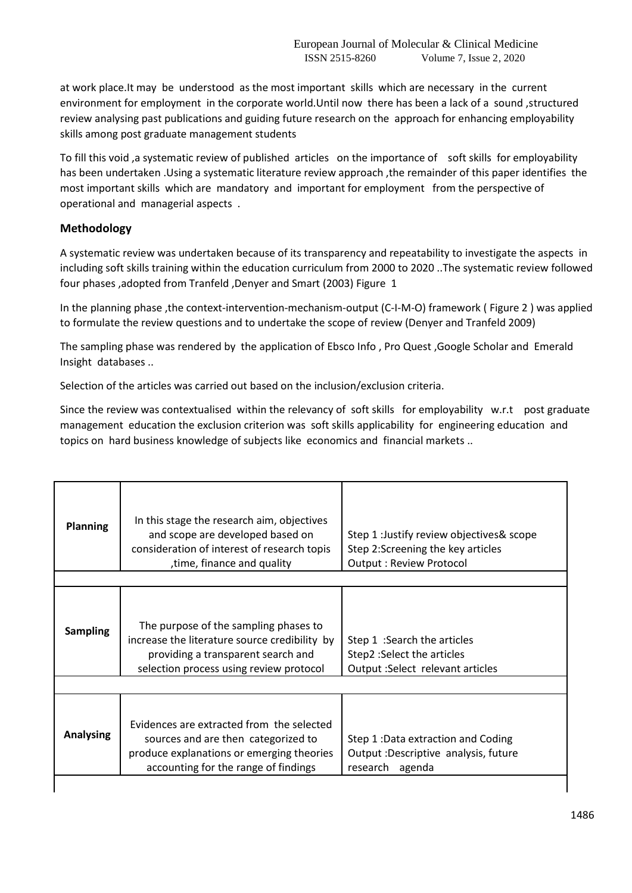at work place.It may be understood as the most important skills which are necessary in the current environment for employment in the corporate world.Until now there has been a lack of a sound ,structured review analysing past publications and guiding future research on the approach for enhancing employability skills among post graduate management students

To fill this void ,a systematic review of published articles on the importance of soft skills for employability has been undertaken .Using a systematic literature review approach ,the remainder of this paper identifies the most important skills which are mandatory and important for employment from the perspective of operational and managerial aspects .

# **Methodology**

A systematic review was undertaken because of its transparency and repeatability to investigate the aspects in including soft skills training within the education curriculum from 2000 to 2020 ..The systematic review followed four phases ,adopted from Tranfeld ,Denyer and Smart (2003) Figure 1

In the planning phase ,the context-intervention-mechanism-output (C-I-M-O) framework ( Figure 2 ) was applied to formulate the review questions and to undertake the scope of review (Denyer and Tranfeld 2009)

The sampling phase was rendered by the application of Ebsco Info , Pro Quest ,Google Scholar and Emerald Insight databases ..

Selection of the articles was carried out based on the inclusion/exclusion criteria.

Since the review was contextualised within the relevancy of soft skills for employability w.r.t post graduate management education the exclusion criterion was soft skills applicability for engineering education and topics on hard business knowledge of subjects like economics and financial markets ..

| <b>Planning</b>  | In this stage the research aim, objectives<br>and scope are developed based on<br>consideration of interest of research topis<br>time, finance and quality,             | Step 1 : Justify review objectives& scope<br>Step 2:Screening the key articles<br><b>Output: Review Protocol</b> |
|------------------|-------------------------------------------------------------------------------------------------------------------------------------------------------------------------|------------------------------------------------------------------------------------------------------------------|
|                  |                                                                                                                                                                         |                                                                                                                  |
| <b>Sampling</b>  | The purpose of the sampling phases to<br>increase the literature source credibility by<br>providing a transparent search and<br>selection process using review protocol | Step 1 : Search the articles<br>Step2 : Select the articles<br>Output : Select relevant articles                 |
|                  |                                                                                                                                                                         |                                                                                                                  |
| <b>Analysing</b> | Evidences are extracted from the selected<br>sources and are then categorized to<br>produce explanations or emerging theories<br>accounting for the range of findings   | Step 1: Data extraction and Coding<br>Output : Descriptive analysis, future<br>research agenda                   |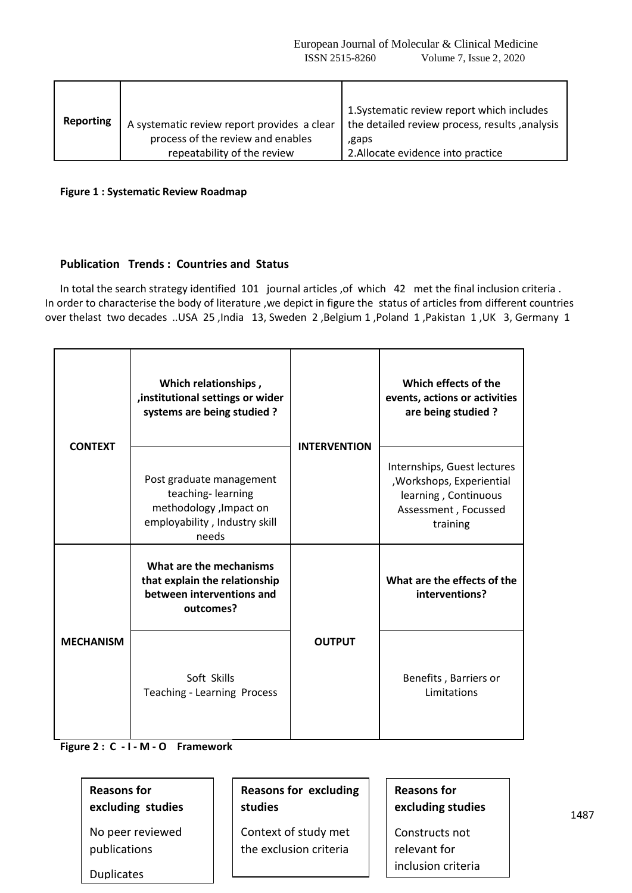| <b>Reporting</b> | A systematic review report provides a clear<br>process of the review and enables<br>repeatability of the review | 1. Systematic review report which includes<br>the detailed review process, results, analysis<br>,gaps<br>2. Allocate evidence into practice |
|------------------|-----------------------------------------------------------------------------------------------------------------|---------------------------------------------------------------------------------------------------------------------------------------------|
|------------------|-----------------------------------------------------------------------------------------------------------------|---------------------------------------------------------------------------------------------------------------------------------------------|

**Figure 1 : Systematic Review Roadmap**

## **Publication Trends : Countries and Status**

In total the search strategy identified 101 journal articles ,of which 42 met the final inclusion criteria . In order to characterise the body of literature ,we depict in figure the status of articles from different countries over thelast two decades ..USA 25 ,India 13, Sweden 2 ,Belgium 1 ,Poland 1 ,Pakistan 1 ,UK 3, Germany 1

| <b>CONTEXT</b>   | Which relationships,<br>, institutional settings or wider<br>systems are being studied?                            |                     | Which effects of the<br>events, actions or activities<br>are being studied?                                          |
|------------------|--------------------------------------------------------------------------------------------------------------------|---------------------|----------------------------------------------------------------------------------------------------------------------|
|                  | Post graduate management<br>teaching-learning<br>methodology , Impact on<br>employability, Industry skill<br>needs | <b>INTERVENTION</b> | Internships, Guest lectures<br>, Workshops, Experiential<br>learning, Continuous<br>Assessment, Focussed<br>training |
|                  | What are the mechanisms<br>that explain the relationship<br>between interventions and<br>outcomes?                 |                     | What are the effects of the<br>interventions?                                                                        |
| <b>MECHANISM</b> | Soft Skills<br><b>Teaching - Learning Process</b>                                                                  | <b>OUTPUT</b>       | Benefits, Barriers or<br>Limitations                                                                                 |

**Figure 2 : C - I - M - O Framework**

| <b>Reasons for</b> |  |
|--------------------|--|
| excluding studies  |  |

No peer reviewed publications

Duplicates

**Reasons for excluding studies**

Context of study met the exclusion criteria

**Reasons for excluding studies**

Constructs not relevant for inclusion criteria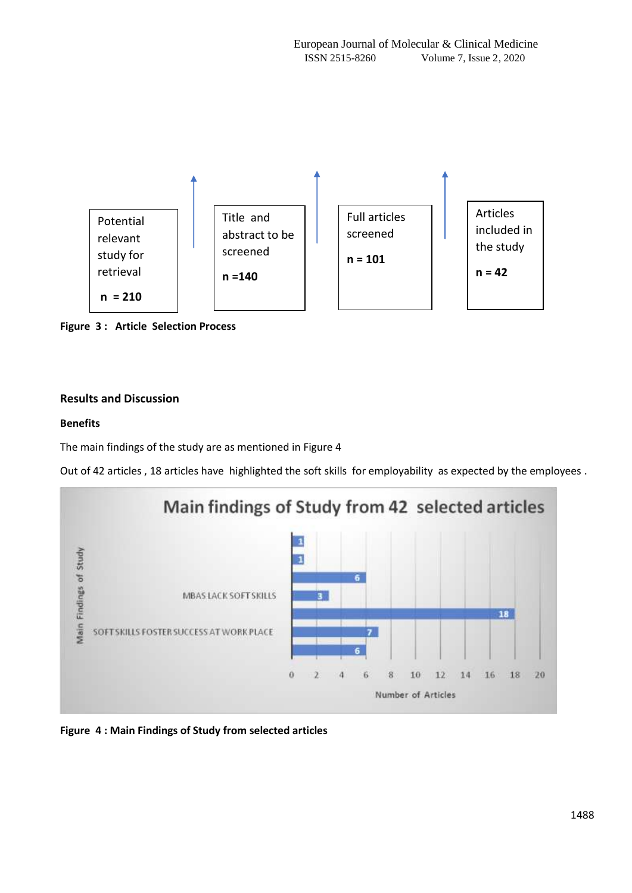

**Figure 3 : Article Selection Process** n

# **Results and Discussion**

# **Benefits**

The main findings of the study are as mentioned in Figure 4

Out of 42 articles , 18 articles have highlighted the soft skills for employability as expected by the employees .



**Figure 4 : Main Findings of Study from selected articles**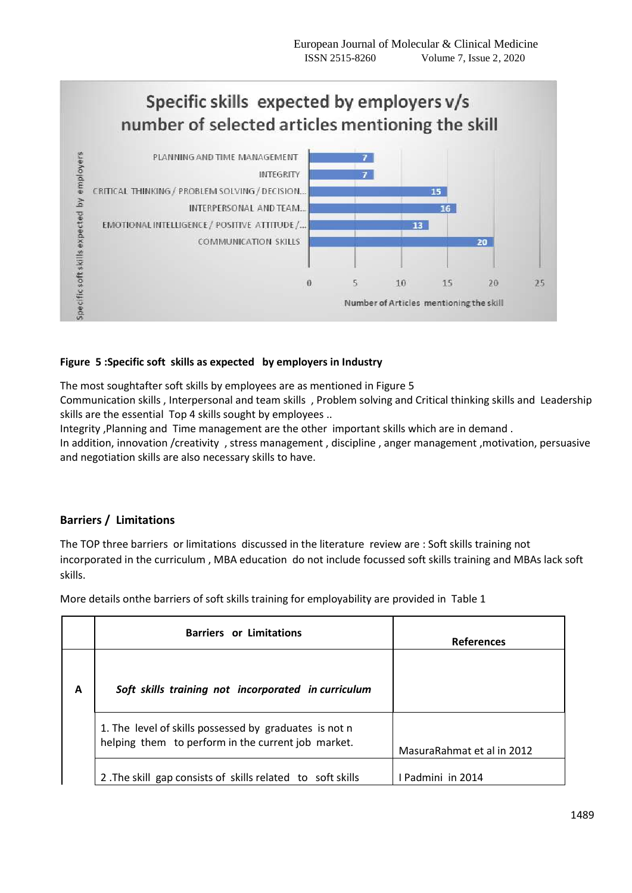

# **Figure 5 :Specific soft skills as expected by employers in Industry**

The most soughtafter soft skills by employees are as mentioned in Figure 5

Communication skills , Interpersonal and team skills , Problem solving and Critical thinking skills and Leadership skills are the essential Top 4 skills sought by employees ..

Integrity ,Planning and Time management are the other important skills which are in demand .

In addition, innovation /creativity , stress management , discipline , anger management ,motivation, persuasive and negotiation skills are also necessary skills to have.

# **Barriers / Limitations**

The TOP three barriers or limitations discussed in the literature review are : Soft skills training not incorporated in the curriculum , MBA education do not include focussed soft skills training and MBAs lack soft skills.

More details onthe barriers of soft skills training for employability are provided in Table 1

|   | <b>Barriers or Limitations</b>                                                                               | <b>References</b>          |
|---|--------------------------------------------------------------------------------------------------------------|----------------------------|
| A | Soft skills training not incorporated in curriculum                                                          |                            |
|   | 1. The level of skills possessed by graduates is not n<br>helping them to perform in the current job market. | MasuraRahmat et al in 2012 |
|   | 2. The skill gap consists of skills related to soft skills                                                   | I Padmini in 2014          |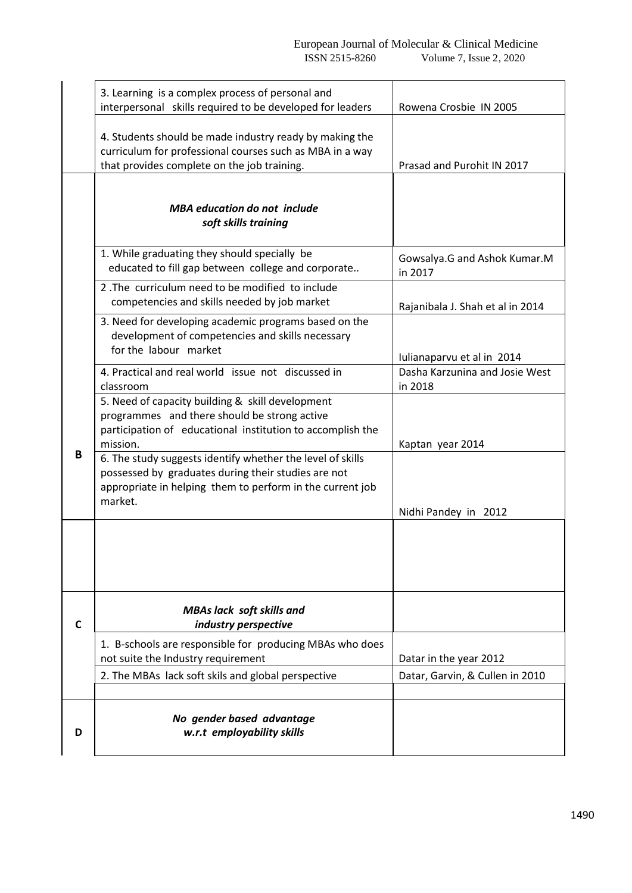|   | 3. Learning is a complex process of personal and<br>interpersonal skills required to be developed for leaders                                                                             | Rowena Crosbie IN 2005                                                  |
|---|-------------------------------------------------------------------------------------------------------------------------------------------------------------------------------------------|-------------------------------------------------------------------------|
|   | 4. Students should be made industry ready by making the<br>curriculum for professional courses such as MBA in a way<br>that provides complete on the job training.                        | Prasad and Purohit IN 2017                                              |
|   | <b>MBA</b> education do not include<br>soft skills training                                                                                                                               |                                                                         |
|   | 1. While graduating they should specially be<br>educated to fill gap between college and corporate                                                                                        | Gowsalya.G and Ashok Kumar.M<br>in 2017                                 |
|   | 2. The curriculum need to be modified to include<br>competencies and skills needed by job market                                                                                          | Rajanibala J. Shah et al in 2014                                        |
|   | 3. Need for developing academic programs based on the<br>development of competencies and skills necessary<br>for the labour market                                                        |                                                                         |
|   | 4. Practical and real world issue not discussed in<br>classroom                                                                                                                           | Iulianaparvu et al in 2014<br>Dasha Karzunina and Josie West<br>in 2018 |
|   | 5. Need of capacity building & skill development<br>programmes and there should be strong active<br>participation of educational institution to accomplish the<br>mission.                | Kaptan year 2014                                                        |
| B | 6. The study suggests identify whether the level of skills<br>possessed by graduates during their studies are not<br>appropriate in helping them to perform in the current job<br>market. | Nidhi Pandey in 2012                                                    |
|   |                                                                                                                                                                                           |                                                                         |
| C | <b>MBAs lack soft skills and</b><br>industry perspective                                                                                                                                  |                                                                         |
|   | 1. B-schools are responsible for producing MBAs who does<br>not suite the Industry requirement                                                                                            | Datar in the year 2012                                                  |
|   | 2. The MBAs lack soft skils and global perspective                                                                                                                                        | Datar, Garvin, & Cullen in 2010                                         |
| D | No gender based advantage<br>w.r.t employability skills                                                                                                                                   |                                                                         |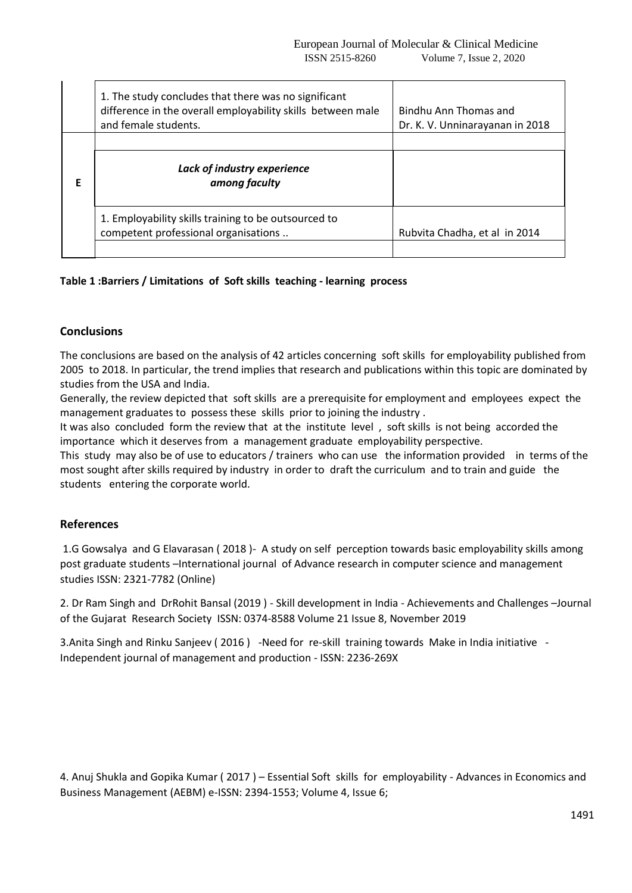|   | 1. The study concludes that there was no significant<br>difference in the overall employability skills between male<br>and female students. | Bindhu Ann Thomas and<br>Dr. K. V. Unninarayanan in 2018 |
|---|---------------------------------------------------------------------------------------------------------------------------------------------|----------------------------------------------------------|
| Е | Lack of industry experience<br>among faculty                                                                                                |                                                          |
|   | 1. Employability skills training to be outsourced to<br>competent professional organisations                                                | Rubvita Chadha, et al in 2014                            |

## **Table 1 :Barriers / Limitations of Soft skills teaching - learning process**

## **Conclusions**

The conclusions are based on the analysis of 42 articles concerning soft skills for employability published from 2005 to 2018. In particular, the trend implies that research and publications within this topic are dominated by studies from the USA and India.

Generally, the review depicted that soft skills are a prerequisite for employment and employees expect the management graduates to possess these skills prior to joining the industry .

It was also concluded form the review that at the institute level , soft skills is not being accorded the importance which it deserves from a management graduate employability perspective.

This study may also be of use to educators / trainers who can use the information provided in terms of the most sought after skills required by industry in order to draft the curriculum and to train and guide the students entering the corporate world.

#### **References**

1.G Gowsalya and G Elavarasan ( 2018 )- A study on self perception towards basic employability skills among post graduate students –International journal of Advance research in computer science and management studies ISSN: 2321-7782 (Online)

2. Dr Ram Singh and DrRohit Bansal (2019 ) - Skill development in India - Achievements and Challenges –Journal of the Gujarat Research Society ISSN: 0374-8588 Volume 21 Issue 8, November 2019

3.Anita Singh and Rinku Sanjeev ( 2016 ) -Need for re-skill training towards Make in India initiative - Independent journal of management and production - ISSN: 2236-269X

4. Anuj Shukla and Gopika Kumar ( 2017 ) – Essential Soft skills for employability - Advances in Economics and Business Management (AEBM) e-ISSN: 2394-1553; Volume 4, Issue 6;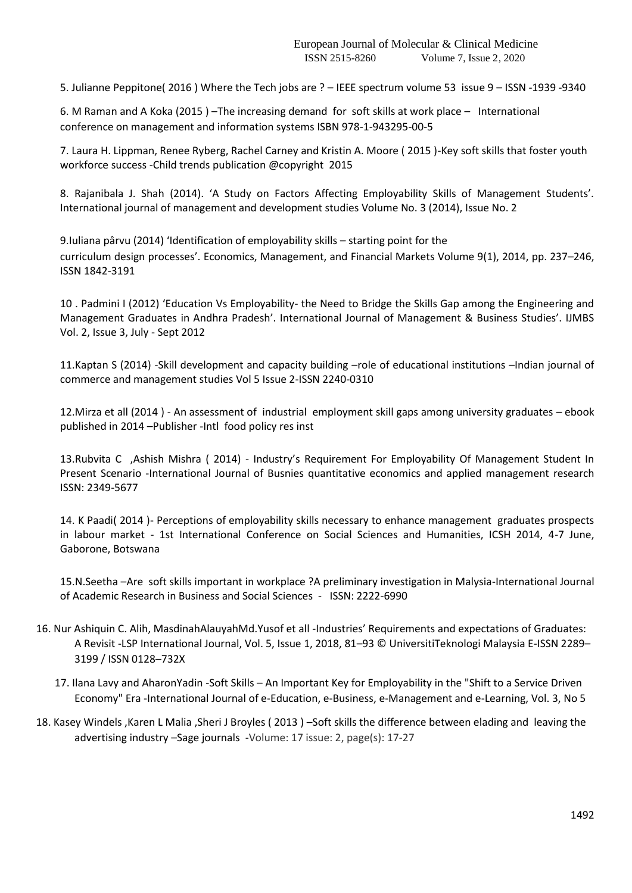5. Julianne Peppitone( 2016 ) Where the Tech jobs are ? – IEEE spectrum volume 53 issue 9 – ISSN -1939 -9340

6. M Raman and A Koka (2015 ) –The increasing demand for soft skills at work place – International conference on management and information systems ISBN 978-1-943295-00-5

7. Laura H. Lippman, Renee Ryberg, Rachel Carney and Kristin A. Moore ( 2015 )-Key soft skills that foster youth workforce success -Child trends publication @copyright 2015

8. Rajanibala J. Shah (2014). 'A Study on Factors Affecting Employability Skills of Management Students'. International journal of management and development studies Volume No. 3 (2014), Issue No. 2

9.Iuliana pârvu (2014) 'Identification of employability skills – starting point for the curriculum design processes'. Economics, Management, and Financial Markets Volume 9(1), 2014, pp. 237–246, ISSN 1842-3191

10 . Padmini I (2012) 'Education Vs Employability- the Need to Bridge the Skills Gap among the Engineering and Management Graduates in Andhra Pradesh'. International Journal of Management & Business Studies'. IJMBS Vol. 2, Issue 3, July - Sept 2012

11.Kaptan S (2014) -Skill development and capacity building –role of educational institutions –Indian journal of commerce and management studies Vol 5 Issue 2-ISSN 2240-0310

12.Mirza et all (2014 ) - An assessment of industrial employment skill gaps among university graduates – ebook published in 2014 –Publisher -Intl food policy res inst

13.Rubvita C ,Ashish Mishra ( 2014) - Industry's Requirement For Employability Of Management Student In Present Scenario -International Journal of Busnies quantitative economics and applied management research ISSN: 2349-5677

14. K Paadi( 2014 )- Perceptions of employability skills necessary to enhance management graduates prospects in labour market - 1st International Conference on Social Sciences and Humanities, ICSH 2014, 4-7 June, Gaborone, Botswana

15.N.Seetha –Are soft skills important in workplace ?A preliminary investigation in Malysia-International Journal of Academic Research in Business and Social Sciences - ISSN: 2222-6990

- 16. Nur Ashiquin C. Alih, MasdinahAlauyahMd.Yusof et all -Industries' Requirements and expectations of Graduates: A Revisit -LSP International Journal, Vol. 5, Issue 1, 2018, 81–93 © UniversitiTeknologi Malaysia E-ISSN 2289– 3199 / ISSN 0128–732X
	- 17. Ilana Lavy and AharonYadin -Soft Skills An Important Key for Employability in the "Shift to a Service Driven Economy" Era -International Journal of e-Education, e-Business, e-Management and e-Learning, Vol. 3, No 5
- 18. Kasey Windels ,Karen L Malia ,Sheri J Broyles ( 2013 ) –Soft skills the difference between elading and leaving the advertising industry –Sage journals -Volume: 17 issue: 2, page(s): 17-27